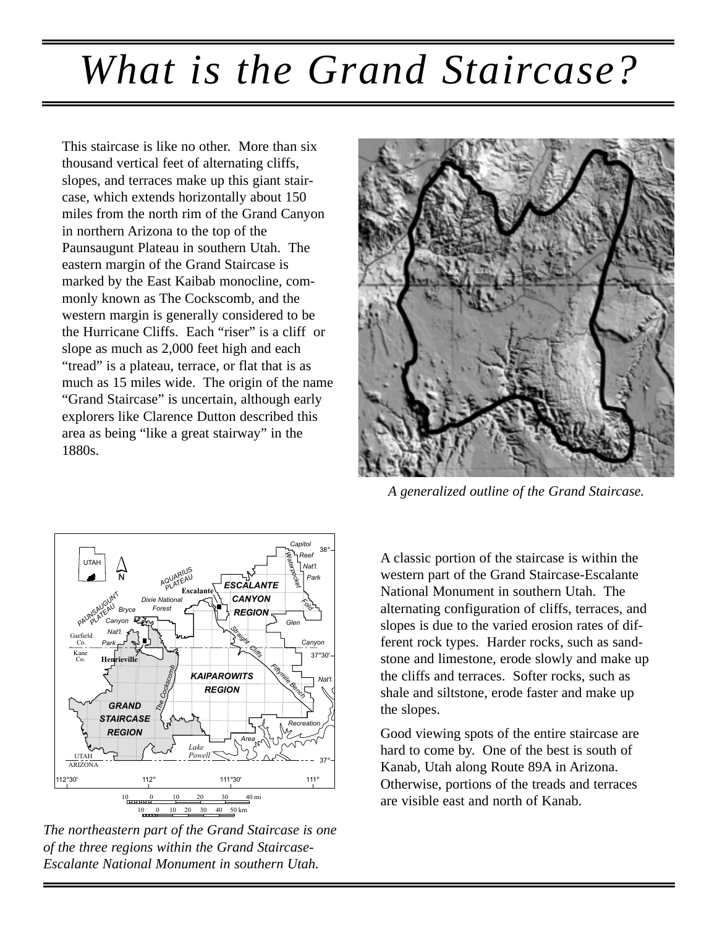## *What is the Grand Staircase?*

This staircase is like no other. More than six thousand vertical feet of alternating cliffs, slopes, and terraces make up this giant staircase, which extends horizontally about 150 miles from the north rim of the Grand Canyon in northern Arizona to the top of the Paunsaugunt Plateau in southern Utah. The eastern margin of the Grand Staircase is marked by the East Kaibab monocline, commonly known as The Cockscomb, and the western margin is generally considered to be the Hurricane Cliffs. Each "riser" is a cliff or slope as much as 2,000 feet high and each "tread" is a plateau, terrace, or flat that is as much as 15 miles wide. The origin of the name "Grand Staircase" is uncertain, although early explorers like Clarence Dutton described this area as being "like a great stairway" in the 1880s.



*The northeastern part of the Grand Staircase is one of the three regions within the Grand Staircase-Escalante National Monument in southern Utah.*



*A generalized outline of the Grand Staircase.*

A classic portion of the staircase is within the western part of the Grand Staircase-Escalante National Monument in southern Utah. The alternating configuration of cliffs, terraces, and slopes is due to the varied erosion rates of different rock types. Harder rocks, such as sandstone and limestone, erode slowly and make up the cliffs and terraces. Softer rocks, such as shale and siltstone, erode faster and make up the slopes.

Good viewing spots of the entire staircase are hard to come by. One of the best is south of Kanab, Utah along Route 89A in Arizona. Otherwise, portions of the treads and terraces are visible east and north of Kanab.